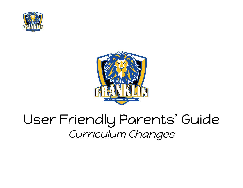



## User Friendly Parents ' Guide Curriculum Changes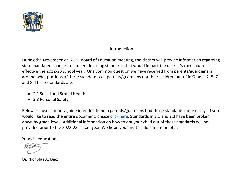

#### Introduction

During the November 22, 2021 Board of Education meeting, the district will provide information regarding state mandated changes to student learning standards that would impact the district's curriculum effective the 2022-23 school year. One common question we have received from parents/guardians is around what portions of these standards can parents/guardians opt their children out of in Grades 2, 5, 7 and 8. These standards are:

- 2.1 Social and Sexual Health
- 2.3 Personal Safety

Below is a user-friendly guide intended to help parents/guardians find those standards more easily. If you would like to read the entire document, please click [here](https://www.nj.gov/education/cccs/2020/2020%20NJSLS-CHPE.pdf). Standards in 2.1 and 2.3 have been broken down by grade level. Additional information on how to opt your child out of these standards will be provided prior to the 2022-23 school year. We hope you find this document helpful.

Yours in education,

Dr. Nicholas A. Diaz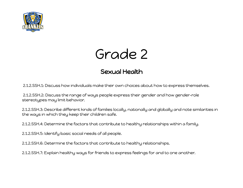



### Sexual Health

2.1.2.SSH.1: Discuss how individuals make their own choices about how to express themselves.

2.1.2.SSH.2: Discuss the range of ways people express their gender and how gender-role stereotypes may limit behavior.

2.1.2.SSH.3: Describe different kinds of families locally, nationally and globally and note similarities in the ways in which they keep their children safe.

2.1.2.SSH.4: Determine the factors that contribute to healthy relationships within a family.

2.1.2.SSH.5: Identify basic social needs of all people.

2.1.2.SSH.6: Determine the factors that contribute to healthy relationships.

2.1.2.SSH.7: Explain healthy ways for friends to express feelings for and to one another.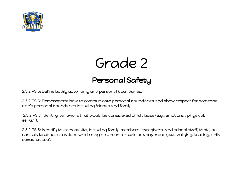

## Grade 2

### Personal Safety

2.3.2.PS.5: Define bodily autonomy and personal boundaries.

2.3.2.PS.6: Demonstrate how to communicate personal boundaries and show respect for someone else's personal boundaries including friends and family.

2.3.2.PS.7: Identify behaviors that would be considered child abuse (e.g., emotional, physical, sexual).

2.3.2.PS.8: Identify trusted adults, including family members, caregivers, and school staff, that you can talk to about situations which may be uncomfortable or dangerous (e.g., bullying, teasing, child sexual abuse).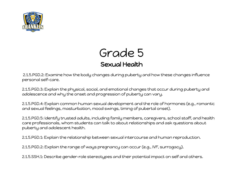

### Grade 5 Sexual Health

2.1.5.PGD.2: Examine how the body changes during puberty and how these changes influence personal self-care.

2.1.5.PGD.3: Explain the physical, social, and emotional changes that occur during puberty and adolescence and why the onset and progression of puberty can vary.

2.1.5.PGD.4: Explain common human sexual development and the role of hormones (e.g., romantic and sexual feelings, masturbation, mood swings, timing of pubertal onset).

2.1.5.PGD.5: Identify trusted adults, including family members, caregivers, school staff, and health care professionals, whom students can talk to about relationships and ask questions about puberty and adolescent health.

2.1.5.PGD.1: Explain the relationship between sexual intercourse and human reproduction.

2.1.5.PGD.2: Explain the range of ways pregnancy can occur (e.g., IVF, surrogacy).

2.1.5.SSH.1: Describe gender-role stereotypes and their potential impact on self and others.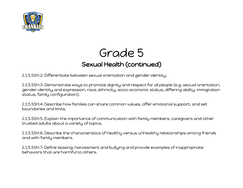

## Grade 5 Sexual Health (continued)

2.1.5.SSH.2: Differentiate between sexual orientation and gender identity.

2.1.5.SSH.3: Demonstrate ways to promote dignity and respect for all people (e.g. sexual orientation, gender identity and expression, race, ethnicity, socio-economic status, differing ability, immigration status, family configuration).

2.1.5.SSH.4: Describe how families can share common values, offer emotional support, and set boundaries and limits.

2.1.5.SSH.5: Explain the importance of communication with family members, caregivers and other trusted adults about a variety of topics.

2.1.5.SSH.6: Describe the characteristics of healthy versus unhealthy relationships among friends and with family members.

2.1.5.SSH.7: Define teasing, harassment and bullying and provide examples of inappropriate behaviors that are harmful to others.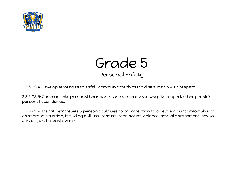



Personal Safety

2.3.5.PS.4: Develop strategies to safely communicate through digital media with respect.

2.3.5.PS.5: Communicate personal boundaries and demonstrate ways to respect other people's personal boundaries.

2.3.5.PS.6: Identify strategies a person could use to call attention to or leave an uncomfortable or dangerous situation, including bullying, teasing, teen dating violence, sexual harassment, sexual assault, and sexual abuse.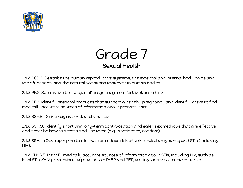



2.1.8.PGD.3: Describe the human reproductive systems, the external and internal body parts and their functions, and the natural variations that exist in human bodies.

2.1.8.PP.2: Summarize the stages of pregnancy from fertilization to birth.

2.1.8.PP.3: Identify prenatal practices that support a healthy pregnancy and identify where to find medically accurate sources of information about prenatal care.

2.1.8.SSH.9: Define vaginal, oral, and anal sex.

2.1.8.SSH.10: Identify short and long-term contraception and safer sex methods that are effective and describe how to access and use them (e.g., abstinence, condom).

2.1.8.SSH.11: Develop a plan to eliminate or reduce risk of unintended pregnancy and STIs (including HIV).

2.1.8.CHSS.5: Identify medically accurate sources of information about STIs, including HIV, such as local STIs /HIV prevention, steps to obtain PrEP and PEP, testing, and treatment resources.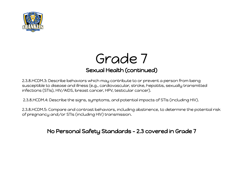



2.3.8.HCDM.3: Describe behaviors which may contribute to or prevent a person from being susceptible to disease and illness (e.g., cardiovascular, stroke, hepatitis, sexually transmitted infections (STIs), HIV/AIDS, breast cancer, HPV, testicular cancer).

2.3.8.HCDM.4: Describe the signs, symptoms, and potential impacts of STIs (including HIV).

2.3.8.HCDM.5: Compare and contrast behaviors, including abstinence, to determine the potential risk of pregnancy and/or STIs (including HIV) transmission.

No Personal Safety Standards - 2.3 covered in Grade 7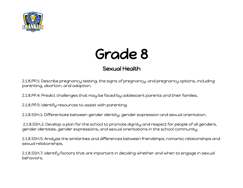



### Sexual Health

2.1.8.PP.1: Describe pregnancy testing, the signs of pregnancy, and pregnancy options, including parenting, abortion, and adoption.

2.1.8.PP.4: Predict challenges that may be faced by adolescent parents and their families.

2.1.8.PP.5: Identify resources to assist with parenting.

2.1.8.SSH.1: Differentiate between gender identity, gender expression and sexual orientation.

2.1.8.SSH.2: Develop a plan for the school to promote dignity and respect for people of all genders, gender identities, gender expressions, and sexual orientations in the school community.

2.1.8.SSH.5: Analyze the similarities and differences between friendships, romantic relationships and sexual relationships.

2.1.8.SSH.7: Identify factors that are important in deciding whether and when to engage in sexual behaviors.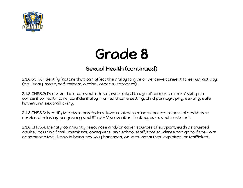

# Grade 8

### Sexual Health (continued)

2.1.8.SSH.8: Identify factors that can affect the ability to give or perceive consent to sexual activity (e.g., body image, self-esteem, alcohol, other substances).

2.1.8.CHSS.2: Describe the state and federal laws related to age of consent, minors' ability to consent to health care, confidentiality in a healthcare setting, child pornography, sexting, safe haven and sex trafficking.

2.1.8.CHSS.3: Identify the state and federal laws related to minors' access to sexual healthcare services, including pregnancy and STIs/HIV prevention, testing, care, and treatment.

2.1.8.CHSS.4: Identify community resources and/or other sources of support, such as trusted adults, including family members, caregivers, and school staff, that students can go to if they are or someone they know is being sexually harassed, abused, assaulted, exploited, or trafficked.